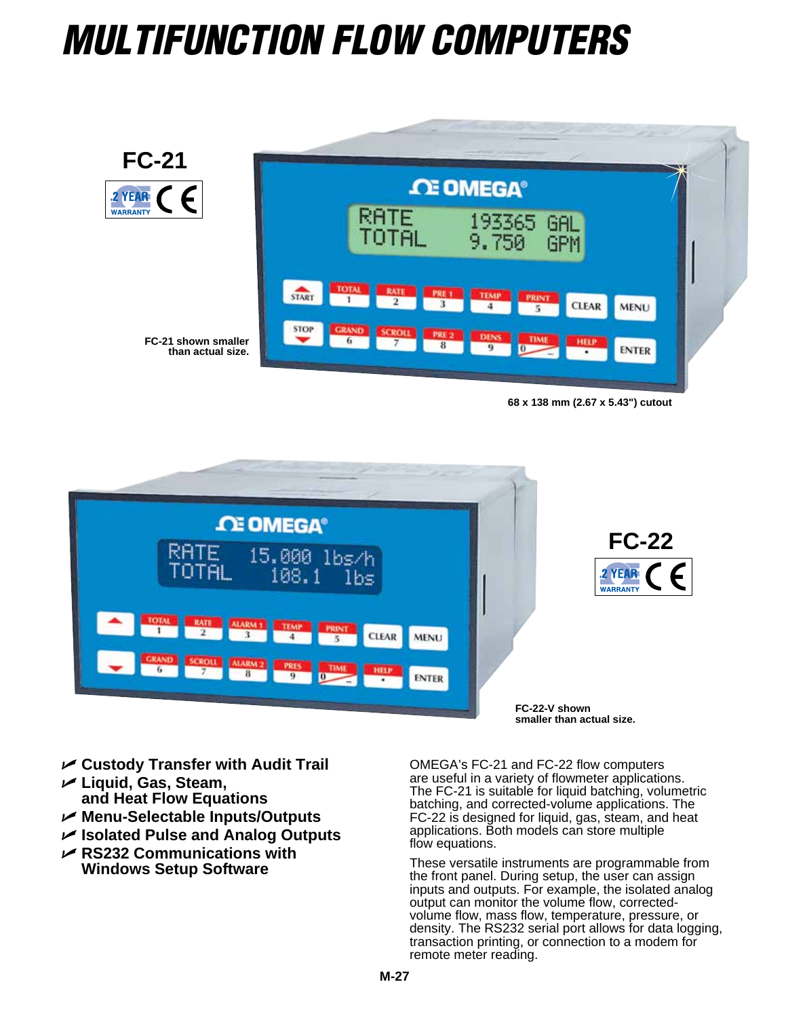## *MultiFunction Flow Computers*



**68 x 138 mm (2.67 x 5.43") cutout**



- U **Custody Transfer with Audit Trail**
- U **Liquid, Gas, Steam, and Heat Flow Equations**
- U **Menu-Selectable Inputs/Outputs**
- U **Isolated Pulse and Analog Outputs**
- U **RS232 Communications with Windows Setup Software**

OMEGA's FC-21 and FC-22 flow computers are useful in a variety of flowmeter applications. The FC-21 is suitable for liquid batching, volumetric batching, and corrected-volume applications. The FC-22 is designed for liquid, gas, steam, and heat applications. Both models can store multiple flow equations.

These versatile instruments are programmable from the front panel. During setup, the user can assign inputs and outputs. For example, the isolated analog output can monitor the volume flow, correctedvolume flow, mass flow, temperature, pressure, or density. The RS232 serial port allows for data logging, transaction printing, or connection to a modem for remote meter reading.